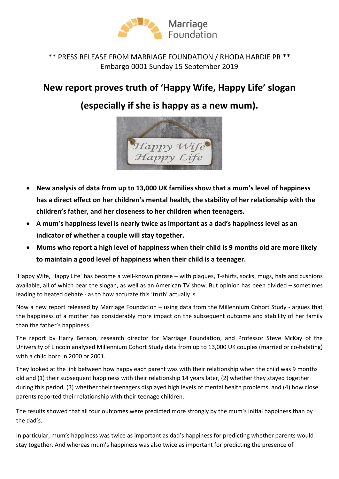

## \*\* PRESS RELEASE FROM MARRIAGE FOUNDATION / RHODA HARDIE PR \*\* Embargo 0001 Sunday 15 September 2019

## New report proves truth of 'Happy Wife, Happy Life' slogan

## (especially if she is happy as a new mum).



- New analysis of data from up to 13,000 UK families show that a mum's level of happiness has a direct effect on her children's mental health, the stability of her relationship with the children's father, and her closeness to her children when teenagers.
- A mum's happiness level is nearly twice as important as a dad's happiness level as an indicator of whether a couple will stay together.
- Mums who report a high level of happiness when their child is 9 months old are more likely to maintain a good level of happiness when their child is a teenager.

'Happy Wife, Happy Life' has become a well-known phrase – with plaques, T-shirts, socks, mugs, hats and cushions available, all of which bear the slogan, as well as an American TV show. But opinion has been divided – sometimes leading to heated debate - as to how accurate this 'truth' actually is.

Now a new report released by Marriage Foundation – using data from the Millennium Cohort Study - argues that the happiness of a mother has considerably more impact on the subsequent outcome and stability of her family than the father's happiness.

The report by Harry Benson, research director for Marriage Foundation, and Professor Steve McKay of the University of Lincoln analysed Millennium Cohort Study data from up to 13,000 UK couples (married or co-habiting) with a child born in 2000 or 2001.

They looked at the link between how happy each parent was with their relationship when the child was 9 months old and (1) their subsequent happiness with their relationship 14 years later, (2) whether they stayed together during this period, (3) whether their teenagers displayed high levels of mental health problems, and (4) how close parents reported their relationship with their teenage children.

The results showed that all four outcomes were predicted more strongly by the mum's initial happiness than by the dad's.

In particular, mum's happiness was twice as important as dad's happiness for predicting whether parents would stay together. And whereas mum's happiness was also twice as important for predicting the presence of